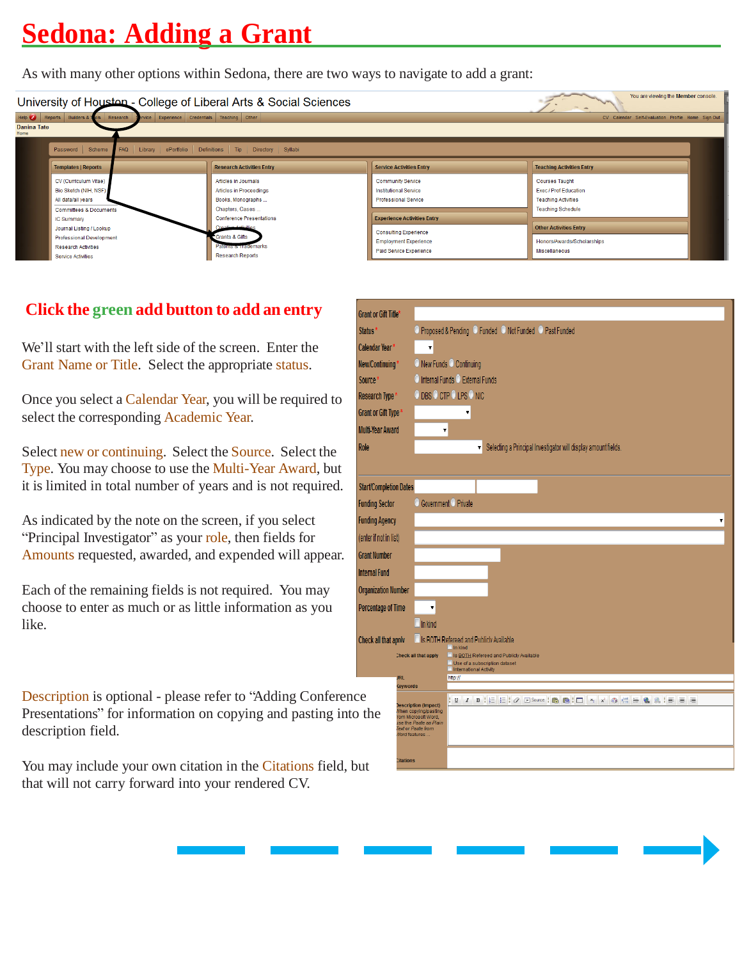## **Sedona: Adding a Grant**

As with many other options within Sedona, there are two ways to navigate to add a grant:



## **Click the green add button to add an entry**

We'll start with the left side of the screen. Enter the Grant Name or Title. Select the appropriate status.

Once you select a Calendar Year, you will be required to select the corresponding Academic Year.

Select new or continuing. Select the Source. Select the Type. You may choose to use the Multi-Year Award, but it is limited in total number of years and is not required.

As indicated by the note on the screen, if you select "Principal Investigator" as your role, then fields for Amounts requested, awarded, and expended will appear.

Each of the remaining fields is not required. You may choose to enter as much or as little information as you like.

Description is optional - please refer to "Adding Conference" Presentations" for information on copying and pasting into description field.

You may include your own citation in the Citations field, b that will not carry forward into your rendered CV.

| <b>Grant or Gift Title*</b>   |                                                                                                                            |  |  |  |  |
|-------------------------------|----------------------------------------------------------------------------------------------------------------------------|--|--|--|--|
| Status <sup>*</sup>           | O Proposed & Pending O Funded O Not Funded O Past Funded                                                                   |  |  |  |  |
| Calendar Year*                | ۳                                                                                                                          |  |  |  |  |
| New/Continuing*               | O New Funds O Continuing                                                                                                   |  |  |  |  |
| Source*                       | O Internal Funds O External Funds                                                                                          |  |  |  |  |
| Research Type *               | O DBS O CTP O LPS O NIC                                                                                                    |  |  |  |  |
| Grant or Gift Type *          |                                                                                                                            |  |  |  |  |
| <b>Multi-Year Award</b>       | ۷                                                                                                                          |  |  |  |  |
| Role                          | Selecting a Principal Investigator will display amount fields.<br>۷                                                        |  |  |  |  |
|                               |                                                                                                                            |  |  |  |  |
| <b>Start/Completion Dates</b> |                                                                                                                            |  |  |  |  |
| <b>Funding Sector</b>         | Government <sup>O</sup> Private                                                                                            |  |  |  |  |
| <b>Funding Agency</b>         |                                                                                                                            |  |  |  |  |
| (enter if not in list)        |                                                                                                                            |  |  |  |  |
| <b>Grant Number</b>           |                                                                                                                            |  |  |  |  |
|                               |                                                                                                                            |  |  |  |  |
| <b>Internal Fund</b>          |                                                                                                                            |  |  |  |  |
| <b>Organization Number</b>    |                                                                                                                            |  |  |  |  |
| <b>Percentage of Time</b>     | ▼                                                                                                                          |  |  |  |  |
|                               | In kind                                                                                                                    |  |  |  |  |
| Check all that apply          | Is BOTH Refereed and Publick Available<br>$\Box$ In kind                                                                   |  |  |  |  |
|                               | Is BOTH Refereed and Publicly Available<br>Check all that apply<br>Use of a subscription dataset<br>International Activity |  |  |  |  |
| <b>JRL</b>                    | http://<br><b>Ceywords</b>                                                                                                 |  |  |  |  |
| сe                            | B   E   B   B Source   B   B   E   X   X   O   E   B   A   E   E   E   E<br>$\mathbf{U}$ $I$                               |  |  |  |  |
| <sub>2</sub> the              | <b>Description (Impact)</b><br>When copying/pasting<br>rom Microsoft Word,                                                 |  |  |  |  |
|                               | ise the Paste as Plain<br>Text or Paste from<br><b>Nord features</b> .                                                     |  |  |  |  |
|                               |                                                                                                                            |  |  |  |  |
| чt                            | <b>Citations</b>                                                                                                           |  |  |  |  |
|                               |                                                                                                                            |  |  |  |  |